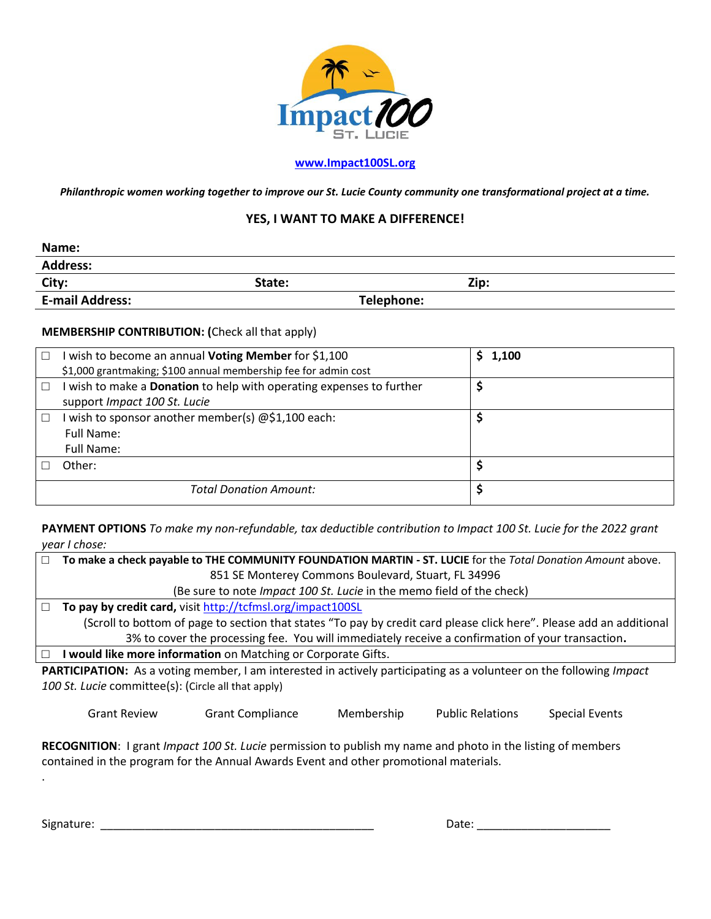

## **[www.Impact100SL.org](http://www.impact100sl.org/)**

*Philanthropic women working together to improve our St. Lucie County community one transformational project at a time.*

## **YES, I WANT TO MAKE A DIFFERENCE!**

| Name:                  |            |      |
|------------------------|------------|------|
| <b>Address:</b>        |            |      |
| City:                  | State:     | Zip: |
| <b>E-mail Address:</b> | Telephone: |      |

## **MEMBERSHIP CONTRIBUTION: (**Check all that apply)

| I wish to become an annual <b>Voting Member</b> for \$1,100<br>\$1,000 grantmaking; \$100 annual membership fee for admin cost | \$1,100 |
|--------------------------------------------------------------------------------------------------------------------------------|---------|
| I wish to make a <b>Donation</b> to help with operating expenses to further<br>support Impact 100 St. Lucie                    |         |
| I wish to sponsor another member(s) @\$1,100 each:<br>Full Name:<br>Full Name:                                                 |         |
| Other:                                                                                                                         |         |
| <b>Total Donation Amount:</b>                                                                                                  |         |

**PAYMENT OPTIONS** *To make my non-refundable, tax deductible contribution to Impact 100 St. Lucie for the 2022 grant year I chose:*

| To make a check payable to THE COMMUNITY FOUNDATION MARTIN - ST. LUCIE for the Total Donation Amount above.          |  |  |
|----------------------------------------------------------------------------------------------------------------------|--|--|
| 851 SE Monterey Commons Boulevard, Stuart, FL 34996                                                                  |  |  |
| (Be sure to note <i>Impact 100 St. Lucie</i> in the memo field of the check)                                         |  |  |
| To pay by credit card, visit http://tcfmsl.org/impact100SL                                                           |  |  |
| (Scroll to bottom of page to section that states "To pay by credit card please click here". Please add an additional |  |  |
| 3% to cover the processing fee. You will immediately receive a confirmation of your transaction.                     |  |  |

□ **I would like more information** on Matching or Corporate Gifts.

**PARTICIPATION:** As a voting member, I am interested in actively participating as a volunteer on the following *Impact 100 St. Lucie* committee(s): (Circle all that apply)

Grant Review Grant Compliance Membership Public Relations Special Events

**RECOGNITION**: I grant *Impact 100 St. Lucie* permission to publish my name and photo in the listing of members contained in the program for the Annual Awards Event and other promotional materials.

Signature: \_\_\_\_\_\_\_\_\_\_\_\_\_\_\_\_\_\_\_\_\_\_\_\_\_\_\_\_\_\_\_\_\_\_\_\_\_\_\_\_\_\_\_ Date: \_\_\_\_\_\_\_\_\_\_\_\_\_\_\_\_\_\_\_\_\_

.

| Date: |  |
|-------|--|
|       |  |